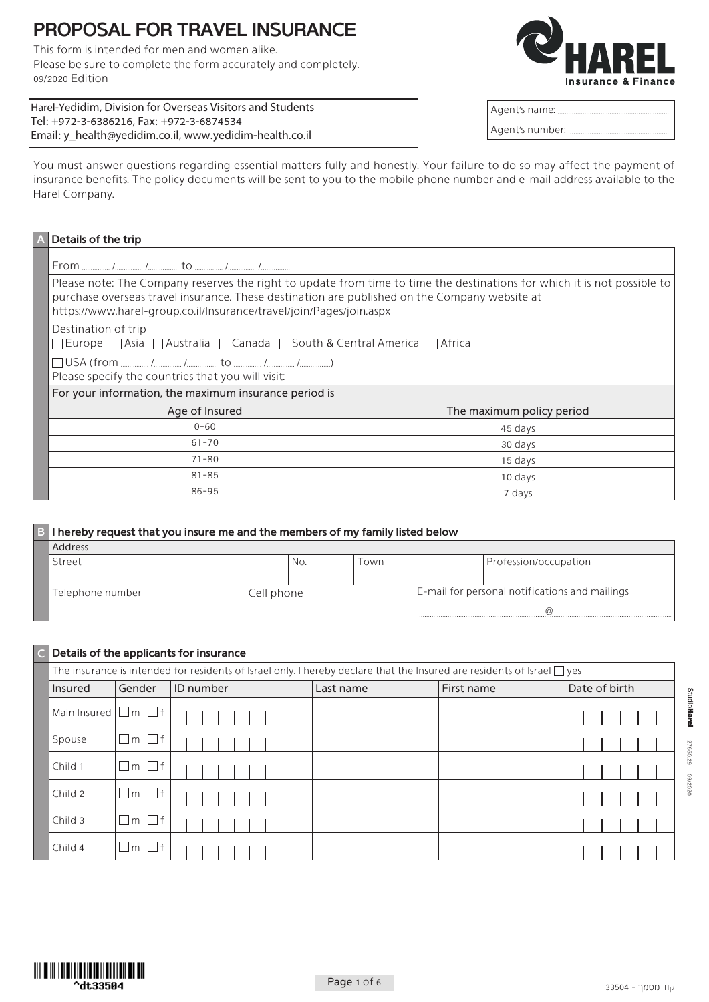# **PROPOSAL FOR TRAVEL INSURANCE**

This form is intended for men and women alike. Please be sure to complete the form accurately and completely. 09/2020 Edition



| Harel-Yedidim, Division for Overseas Visitors and Students |
|------------------------------------------------------------|
| Tel: +972-3-6386216, Fax: +972-3-6874534                   |
| Email: y_health@yedidim.co.il, www.yedidim-health.co.il    |

| Agent's name:   |  |
|-----------------|--|
| Agent's number: |  |

You must answer questions regarding essential matters fully and honestly. Your failure to do so may affect the payment of insurance benefits. The policy documents will be sent to you to the mobile phone number and e-mail address available to the Harel Company.

|                      | Details of the trip                                                                                                                                                                                                                                                                              |                           |  |  |  |  |  |  |  |  |  |
|----------------------|--------------------------------------------------------------------------------------------------------------------------------------------------------------------------------------------------------------------------------------------------------------------------------------------------|---------------------------|--|--|--|--|--|--|--|--|--|
|                      |                                                                                                                                                                                                                                                                                                  |                           |  |  |  |  |  |  |  |  |  |
|                      | Please note: The Company reserves the right to update from time to time the destinations for which it is not possible to<br>purchase overseas travel insurance. These destination are published on the Company website at<br>https://www.harel-group.co.il/Insurance/travel/join/Pages/join.aspx |                           |  |  |  |  |  |  |  |  |  |
|                      | Destination of trip<br>□ Europe □ Asia □ Australia □ Canada □ South & Central America □ Africa                                                                                                                                                                                                   |                           |  |  |  |  |  |  |  |  |  |
|                      | Please specify the countries that you will visit:                                                                                                                                                                                                                                                |                           |  |  |  |  |  |  |  |  |  |
|                      | For your information, the maximum insurance period is                                                                                                                                                                                                                                            |                           |  |  |  |  |  |  |  |  |  |
|                      | Age of Insured                                                                                                                                                                                                                                                                                   | The maximum policy period |  |  |  |  |  |  |  |  |  |
|                      | $0 - 60$                                                                                                                                                                                                                                                                                         | 45 days                   |  |  |  |  |  |  |  |  |  |
|                      | $61 - 70$                                                                                                                                                                                                                                                                                        | 30 days                   |  |  |  |  |  |  |  |  |  |
|                      | $71 - 80$                                                                                                                                                                                                                                                                                        | 15 days                   |  |  |  |  |  |  |  |  |  |
| $81 - 85$<br>10 days |                                                                                                                                                                                                                                                                                                  |                           |  |  |  |  |  |  |  |  |  |
|                      | $86 - 95$                                                                                                                                                                                                                                                                                        | 7 days                    |  |  |  |  |  |  |  |  |  |

| B I hereby request that you insure me and the members of my family listed below |            |      |  |                                                |  |  |  |  |  |  |
|---------------------------------------------------------------------------------|------------|------|--|------------------------------------------------|--|--|--|--|--|--|
| Address                                                                         |            |      |  |                                                |  |  |  |  |  |  |
| Street                                                                          | No.        | Town |  | Profession/occupation                          |  |  |  |  |  |  |
|                                                                                 |            |      |  |                                                |  |  |  |  |  |  |
| Telephone number                                                                | Cell phone |      |  | E-mail for personal notifications and mailings |  |  |  |  |  |  |
|                                                                                 |            |      |  |                                                |  |  |  |  |  |  |
|                                                                                 |            |      |  |                                                |  |  |  |  |  |  |

### **insurance in the of the applicants for insurance**

| The insurance is intended for residents of Israel only. I hereby declare that the Insured are residents of Israel $\Box$ yes |                   |                  |           |            |               |
|------------------------------------------------------------------------------------------------------------------------------|-------------------|------------------|-----------|------------|---------------|
| Insured                                                                                                                      | Gender            | <b>ID</b> number | Last name | First name | Date of birth |
| Main Insured $\Box$ m $\Box$ f                                                                                               |                   |                  |           |            |               |
| Spouse                                                                                                                       | $\Box$ m $\Box$ f |                  |           |            |               |
| Child 1                                                                                                                      | ∣□m □f            |                  |           |            |               |
| Child 2                                                                                                                      | $\Box$ m $\Box$ f |                  |           |            |               |
| Child 3                                                                                                                      | $\Box$ m $\Box$ f |                  |           |            |               |
| Child 4                                                                                                                      | '∐m □f            |                  |           |            |               |

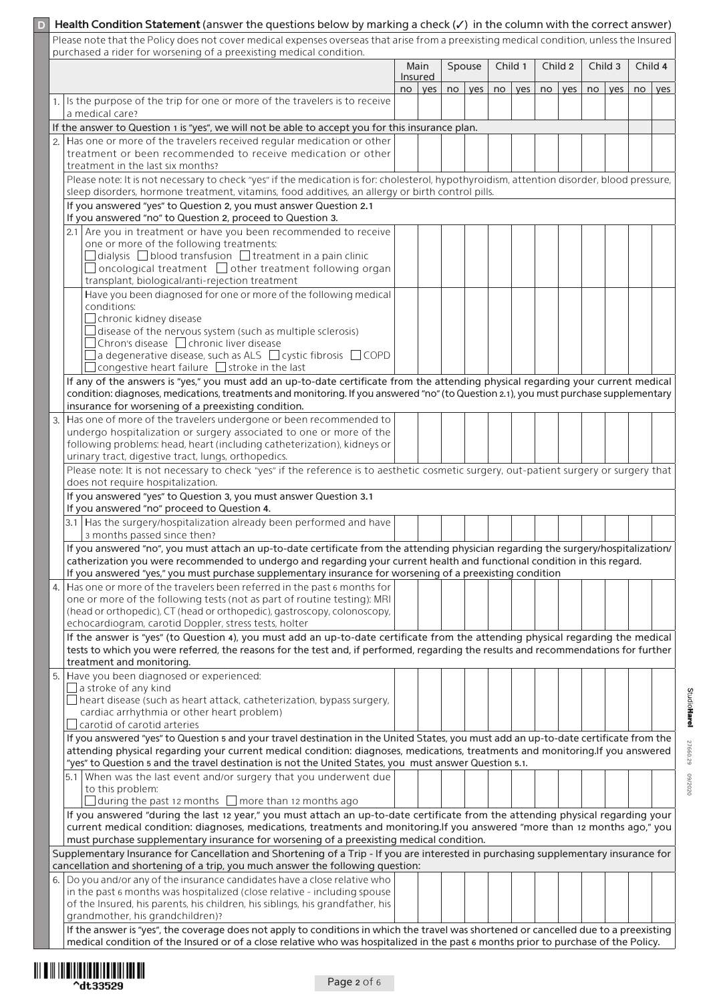|                                                                                                                                                                                                                                                                               | Health Condition Statement (answer the questions below by marking a check $(\checkmark)$ in the column with the correct answer)                                                                                       |  |                      |    |     |  |            |    |     |  |            |  |            |  |
|-------------------------------------------------------------------------------------------------------------------------------------------------------------------------------------------------------------------------------------------------------------------------------|-----------------------------------------------------------------------------------------------------------------------------------------------------------------------------------------------------------------------|--|----------------------|----|-----|--|------------|----|-----|--|------------|--|------------|--|
| Please note that the Policy does not cover medical expenses overseas that arise from a preexisting medical condition, unless the Insured<br>purchased a rider for worsening of a preexisting medical condition.<br>Spouse<br>Child 1<br>Main<br>Child 2<br>Child 3<br>Child 4 |                                                                                                                                                                                                                       |  |                      |    |     |  |            |    |     |  |            |  |            |  |
|                                                                                                                                                                                                                                                                               |                                                                                                                                                                                                                       |  | Insured<br>no<br>yes |    | yes |  | $no$   yes | no | yes |  | $no$   yes |  | $no$   yes |  |
| 1.1                                                                                                                                                                                                                                                                           | Is the purpose of the trip for one or more of the travelers is to receive<br>a medical care?                                                                                                                          |  |                      | no |     |  |            |    |     |  |            |  |            |  |
|                                                                                                                                                                                                                                                                               | If the answer to Question 1 is "yes", we will not be able to accept you for this insurance plan.                                                                                                                      |  |                      |    |     |  |            |    |     |  |            |  |            |  |
|                                                                                                                                                                                                                                                                               | Has one or more of the travelers received regular medication or other                                                                                                                                                 |  |                      |    |     |  |            |    |     |  |            |  |            |  |
|                                                                                                                                                                                                                                                                               | treatment or been recommended to receive medication or other                                                                                                                                                          |  |                      |    |     |  |            |    |     |  |            |  |            |  |
|                                                                                                                                                                                                                                                                               | treatment in the last six months?                                                                                                                                                                                     |  |                      |    |     |  |            |    |     |  |            |  |            |  |
|                                                                                                                                                                                                                                                                               | Please note: It is not necessary to check "yes" if the medication is for: cholesterol, hypothyroidism, attention disorder, blood pressure,                                                                            |  |                      |    |     |  |            |    |     |  |            |  |            |  |
|                                                                                                                                                                                                                                                                               | sleep disorders, hormone treatment, vitamins, food additives, an allergy or birth control pills.                                                                                                                      |  |                      |    |     |  |            |    |     |  |            |  |            |  |
|                                                                                                                                                                                                                                                                               | If you answered "yes" to Question 2, you must answer Question 2.1<br>If you answered "no" to Question 2, proceed to Question 3.                                                                                       |  |                      |    |     |  |            |    |     |  |            |  |            |  |
|                                                                                                                                                                                                                                                                               | 2.1 Are you in treatment or have you been recommended to receive                                                                                                                                                      |  |                      |    |     |  |            |    |     |  |            |  |            |  |
|                                                                                                                                                                                                                                                                               | one or more of the following treatments:                                                                                                                                                                              |  |                      |    |     |  |            |    |     |  |            |  |            |  |
|                                                                                                                                                                                                                                                                               | $\Box$ dialysis $\Box$ blood transfusion $\Box$ treatment in a pain clinic                                                                                                                                            |  |                      |    |     |  |            |    |     |  |            |  |            |  |
|                                                                                                                                                                                                                                                                               | $\Box$ oncological treatment $\Box$ other treatment following organ                                                                                                                                                   |  |                      |    |     |  |            |    |     |  |            |  |            |  |
|                                                                                                                                                                                                                                                                               | transplant, biological/anti-rejection treatment                                                                                                                                                                       |  |                      |    |     |  |            |    |     |  |            |  |            |  |
|                                                                                                                                                                                                                                                                               | Have you been diagnosed for one or more of the following medical                                                                                                                                                      |  |                      |    |     |  |            |    |     |  |            |  |            |  |
|                                                                                                                                                                                                                                                                               | conditions:<br>$\Box$ chronic kidney disease                                                                                                                                                                          |  |                      |    |     |  |            |    |     |  |            |  |            |  |
|                                                                                                                                                                                                                                                                               | $\Box$ disease of the nervous system (such as multiple sclerosis)                                                                                                                                                     |  |                      |    |     |  |            |    |     |  |            |  |            |  |
|                                                                                                                                                                                                                                                                               | $\Box$ Chron's disease $\Box$ chronic liver disease                                                                                                                                                                   |  |                      |    |     |  |            |    |     |  |            |  |            |  |
|                                                                                                                                                                                                                                                                               | $\Box$ a degenerative disease, such as ALS $\Box$ cystic fibrosis $\Box$ COPD                                                                                                                                         |  |                      |    |     |  |            |    |     |  |            |  |            |  |
|                                                                                                                                                                                                                                                                               | congestive heart failure □ stroke in the last                                                                                                                                                                         |  |                      |    |     |  |            |    |     |  |            |  |            |  |
|                                                                                                                                                                                                                                                                               | If any of the answers is "yes," you must add an up-to-date certificate from the attending physical regarding your current medical                                                                                     |  |                      |    |     |  |            |    |     |  |            |  |            |  |
|                                                                                                                                                                                                                                                                               | condition: diagnoses, medications, treatments and monitoring. If you answered "no" (to Question 2.1), you must purchase supplementary<br>insurance for worsening of a preexisting condition.                          |  |                      |    |     |  |            |    |     |  |            |  |            |  |
| 3.                                                                                                                                                                                                                                                                            | Has one of more of the travelers undergone or been recommended to                                                                                                                                                     |  |                      |    |     |  |            |    |     |  |            |  |            |  |
|                                                                                                                                                                                                                                                                               | undergo hospitalization or surgery associated to one or more of the                                                                                                                                                   |  |                      |    |     |  |            |    |     |  |            |  |            |  |
|                                                                                                                                                                                                                                                                               | following problems: head, heart (including catheterization), kidneys or                                                                                                                                               |  |                      |    |     |  |            |    |     |  |            |  |            |  |
|                                                                                                                                                                                                                                                                               | urinary tract, digestive tract, lungs, orthopedics.                                                                                                                                                                   |  |                      |    |     |  |            |    |     |  |            |  |            |  |
|                                                                                                                                                                                                                                                                               | Please note: It is not necessary to check "yes" if the reference is to aesthetic cosmetic surgery, out-patient surgery or surgery that                                                                                |  |                      |    |     |  |            |    |     |  |            |  |            |  |
|                                                                                                                                                                                                                                                                               | does not require hospitalization.                                                                                                                                                                                     |  |                      |    |     |  |            |    |     |  |            |  |            |  |
|                                                                                                                                                                                                                                                                               | If you answered "yes" to Question 3, you must answer Question 3.1<br>If you answered "no" proceed to Question 4.                                                                                                      |  |                      |    |     |  |            |    |     |  |            |  |            |  |
|                                                                                                                                                                                                                                                                               | 3.1 Has the surgery/hospitalization already been performed and have                                                                                                                                                   |  |                      |    |     |  |            |    |     |  |            |  |            |  |
|                                                                                                                                                                                                                                                                               | 3 months passed since then?                                                                                                                                                                                           |  |                      |    |     |  |            |    |     |  |            |  |            |  |
|                                                                                                                                                                                                                                                                               | If you answered "no", you must attach an up-to-date certificate from the attending physician regarding the surgery/hospitalization/                                                                                   |  |                      |    |     |  |            |    |     |  |            |  |            |  |
|                                                                                                                                                                                                                                                                               | catherization you were recommended to undergo and regarding your current health and functional condition in this regard.                                                                                              |  |                      |    |     |  |            |    |     |  |            |  |            |  |
|                                                                                                                                                                                                                                                                               | If you answered "yes," you must purchase supplementary insurance for worsening of a preexisting condition                                                                                                             |  |                      |    |     |  |            |    |     |  |            |  |            |  |
| 4.                                                                                                                                                                                                                                                                            | Has one or more of the travelers been referred in the past 6 months for<br>one or more of the following tests (not as part of routine testing): MRI                                                                   |  |                      |    |     |  |            |    |     |  |            |  |            |  |
|                                                                                                                                                                                                                                                                               | (head or orthopedic), CT (head or orthopedic), gastroscopy, colonoscopy,                                                                                                                                              |  |                      |    |     |  |            |    |     |  |            |  |            |  |
|                                                                                                                                                                                                                                                                               | echocardiogram, carotid Doppler, stress tests, holter                                                                                                                                                                 |  |                      |    |     |  |            |    |     |  |            |  |            |  |
|                                                                                                                                                                                                                                                                               | If the answer is "yes" (to Question 4), you must add an up-to-date certificate from the attending physical regarding the medical                                                                                      |  |                      |    |     |  |            |    |     |  |            |  |            |  |
|                                                                                                                                                                                                                                                                               | tests to which you were referred, the reasons for the test and, if performed, regarding the results and recommendations for further                                                                                   |  |                      |    |     |  |            |    |     |  |            |  |            |  |
|                                                                                                                                                                                                                                                                               | treatment and monitoring.                                                                                                                                                                                             |  |                      |    |     |  |            |    |     |  |            |  |            |  |
| 5.1                                                                                                                                                                                                                                                                           | Have you been diagnosed or experienced:                                                                                                                                                                               |  |                      |    |     |  |            |    |     |  |            |  |            |  |
|                                                                                                                                                                                                                                                                               | $\Box$ a stroke of any kind<br>$\Box$ heart disease (such as heart attack, catheterization, bypass surgery,                                                                                                           |  |                      |    |     |  |            |    |     |  |            |  |            |  |
|                                                                                                                                                                                                                                                                               | cardiac arrhythmia or other heart problem)                                                                                                                                                                            |  |                      |    |     |  |            |    |     |  |            |  |            |  |
|                                                                                                                                                                                                                                                                               | carotid of carotid arteries                                                                                                                                                                                           |  |                      |    |     |  |            |    |     |  |            |  |            |  |
|                                                                                                                                                                                                                                                                               | If you answered "yes" to Question 5 and your travel destination in the United States, you must add an up-to-date certificate from the                                                                                 |  |                      |    |     |  |            |    |     |  |            |  |            |  |
|                                                                                                                                                                                                                                                                               | attending physical regarding your current medical condition: diagnoses, medications, treatments and monitoring.If you answered                                                                                        |  |                      |    |     |  |            |    |     |  |            |  |            |  |
|                                                                                                                                                                                                                                                                               | "yes" to Question 5 and the travel destination is not the United States, you must answer Question 5.1.                                                                                                                |  |                      |    |     |  |            |    |     |  |            |  |            |  |
|                                                                                                                                                                                                                                                                               | 5.1 When was the last event and/or surgery that you underwent due<br>to this problem:                                                                                                                                 |  |                      |    |     |  |            |    |     |  |            |  |            |  |
|                                                                                                                                                                                                                                                                               | $\Box$ during the past 12 months $\Box$ more than 12 months ago                                                                                                                                                       |  |                      |    |     |  |            |    |     |  |            |  |            |  |
|                                                                                                                                                                                                                                                                               | If you answered "during the last 12 year," you must attach an up-to-date certificate from the attending physical regarding your                                                                                       |  |                      |    |     |  |            |    |     |  |            |  |            |  |
|                                                                                                                                                                                                                                                                               | current medical condition: diagnoses, medications, treatments and monitoring. If you answered "more than 12 months ago," you                                                                                          |  |                      |    |     |  |            |    |     |  |            |  |            |  |
|                                                                                                                                                                                                                                                                               | must purchase supplementary insurance for worsening of a preexisting medical condition.                                                                                                                               |  |                      |    |     |  |            |    |     |  |            |  |            |  |
|                                                                                                                                                                                                                                                                               | Supplementary Insurance for Cancellation and Shortening of a Trip - If you are interested in purchasing supplementary insurance for<br>cancellation and shortening of a trip, you much answer the following question: |  |                      |    |     |  |            |    |     |  |            |  |            |  |
| 6.                                                                                                                                                                                                                                                                            | Do you and/or any of the insurance candidates have a close relative who                                                                                                                                               |  |                      |    |     |  |            |    |     |  |            |  |            |  |
|                                                                                                                                                                                                                                                                               | in the past 6 months was hospitalized (close relative - including spouse                                                                                                                                              |  |                      |    |     |  |            |    |     |  |            |  |            |  |
|                                                                                                                                                                                                                                                                               | of the Insured, his parents, his children, his siblings, his grandfather, his                                                                                                                                         |  |                      |    |     |  |            |    |     |  |            |  |            |  |
|                                                                                                                                                                                                                                                                               | grandmother, his grandchildren)?<br>If the answer is "yes", the coverage does not apply to conditions in which the travel was shortened or cancelled due to a preexisting                                             |  |                      |    |     |  |            |    |     |  |            |  |            |  |
|                                                                                                                                                                                                                                                                               | medical condition of the Insured or of a close relative who was hospitalized in the past 6 months prior to purchase of the Policy.                                                                                    |  |                      |    |     |  |            |    |     |  |            |  |            |  |

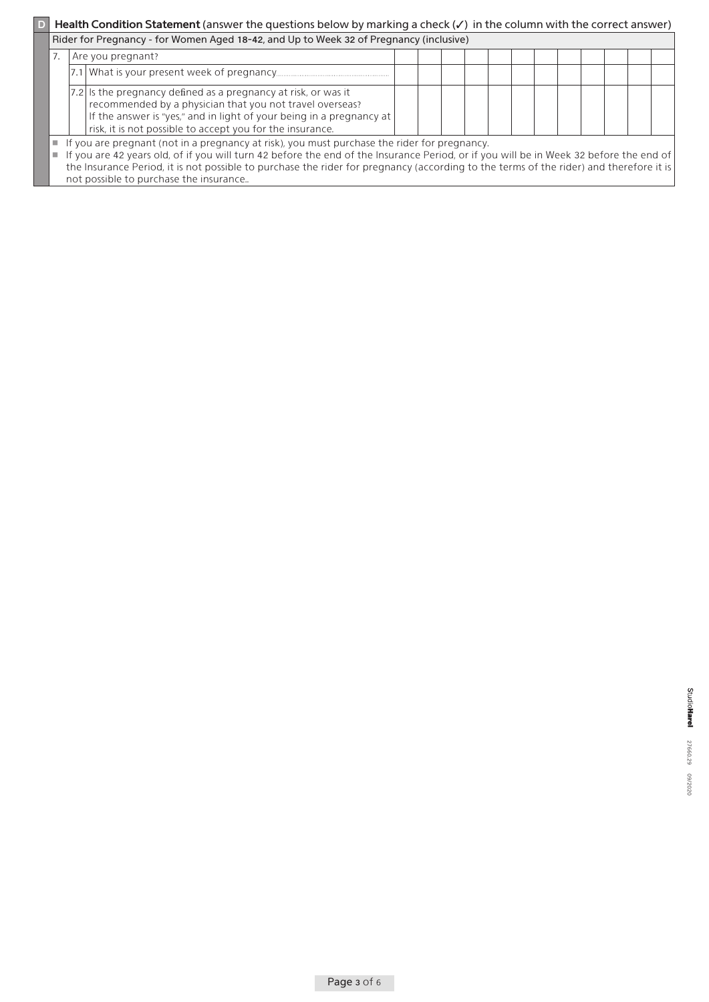## **D** Health Condition Statement (answer the questions below by marking a check (✓) in the column with the correct answer)

|                                                                                                                                                                                                                                                                                                                                                                                                 | Rider for Pregnancy - for Women Aged 18-42, and Up to Week 32 of Pregnancy (inclusive)                                                                                                                                                                          |  |  |  |  |  |  |  |  |  |
|-------------------------------------------------------------------------------------------------------------------------------------------------------------------------------------------------------------------------------------------------------------------------------------------------------------------------------------------------------------------------------------------------|-----------------------------------------------------------------------------------------------------------------------------------------------------------------------------------------------------------------------------------------------------------------|--|--|--|--|--|--|--|--|--|
|                                                                                                                                                                                                                                                                                                                                                                                                 | Are you pregnant?                                                                                                                                                                                                                                               |  |  |  |  |  |  |  |  |  |
|                                                                                                                                                                                                                                                                                                                                                                                                 |                                                                                                                                                                                                                                                                 |  |  |  |  |  |  |  |  |  |
|                                                                                                                                                                                                                                                                                                                                                                                                 | 7.2 Is the pregnancy defined as a pregnancy at risk, or was it<br>recommended by a physician that you not travel overseas?<br>If the answer is "yes," and in light of your being in a pregnancy at<br>risk, it is not possible to accept you for the insurance. |  |  |  |  |  |  |  |  |  |
| $\blacksquare$ If you are pregnant (not in a pregnancy at risk), you must purchase the rider for pregnancy.<br>If you are 42 years old, of if you will turn 42 before the end of the Insurance Period, or if you will be in Week 32 before the end of<br>the Insurance Period, it is not possible to purchase the rider for pregnancy (according to the terms of the rider) and therefore it is |                                                                                                                                                                                                                                                                 |  |  |  |  |  |  |  |  |  |

not possible to purchase the insurance..

StudioHarel 27660.29 09/2020 02/09/2020 27/2020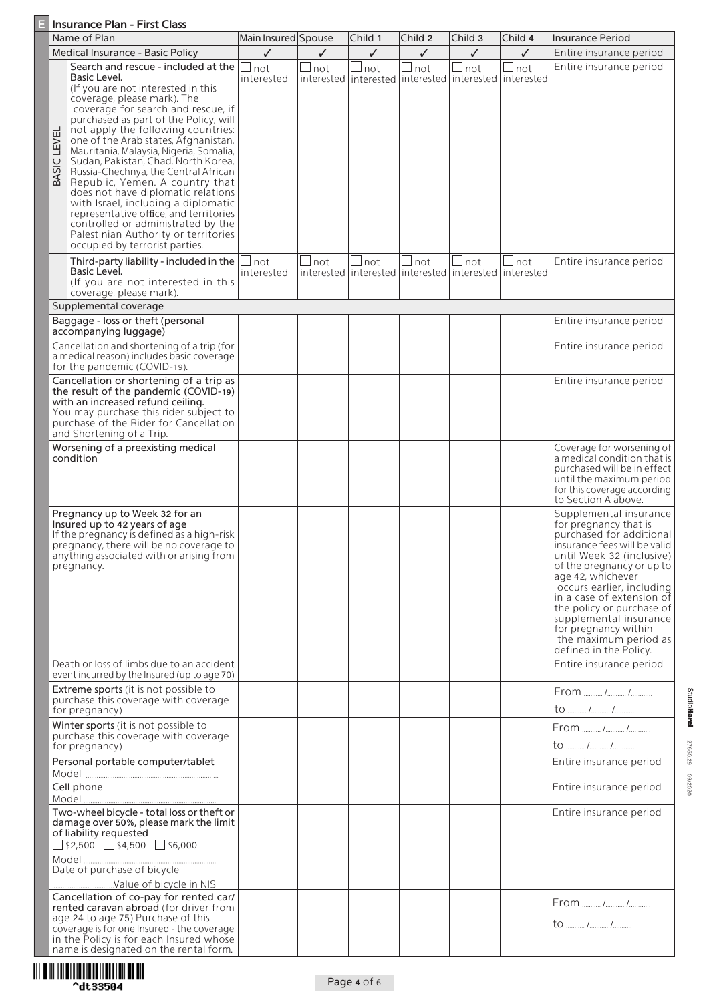### **E** Insurance Plan - First Class

|             | Name of Plan                                                                                                                                                                                                                                                                                                                                                                                                                                                                                                                                                                                                                                                                              | Main Insured Spouse |              | Child 1         | Child 2         | Child 3                                                                        | Child 4         | Insurance Period                                                                                                                                                                                                                                                                                                                                                                       |
|-------------|-------------------------------------------------------------------------------------------------------------------------------------------------------------------------------------------------------------------------------------------------------------------------------------------------------------------------------------------------------------------------------------------------------------------------------------------------------------------------------------------------------------------------------------------------------------------------------------------------------------------------------------------------------------------------------------------|---------------------|--------------|-----------------|-----------------|--------------------------------------------------------------------------------|-----------------|----------------------------------------------------------------------------------------------------------------------------------------------------------------------------------------------------------------------------------------------------------------------------------------------------------------------------------------------------------------------------------------|
|             | Medical Insurance - Basic Policy                                                                                                                                                                                                                                                                                                                                                                                                                                                                                                                                                                                                                                                          | ✓                   | ✓            | ✓               | ✓               | ✓                                                                              | ✓               | Entire insurance period                                                                                                                                                                                                                                                                                                                                                                |
| BASIC LEVEL | Search and rescue - included at the<br>Basic Level.<br>(If you are not interested in this<br>coverage, please mark). The<br>coverage for search and rescue, if<br>purchased as part of the Policy, will<br>not apply the following countries:<br>one of the Arab states, Afghanistan,<br>Mauritania, Malaysia, Nigeria, Somalia,<br>Sudan, Pakistan, Chad, North Korea,<br>Russia-Chechnya, the Central African<br>Republic, Yemen. A country that<br>does not have diplomatic relations<br>with Israel, including a diplomatic<br>representative office, and territories<br>controlled or administrated by the<br>Palestinian Authority or territories<br>occupied by terrorist parties. | not<br>interested   | ⊿not         | not             | $\lrcorner$ not | $\sqcup$ not<br>interested   interested   interested   interested   interested | $\lrcorner$ not | Entire insurance period                                                                                                                                                                                                                                                                                                                                                                |
|             | Third-party liability - included in the<br>Basic Level.<br>(If you are not interested in this<br>coverage, please mark).                                                                                                                                                                                                                                                                                                                                                                                                                                                                                                                                                                  | not<br>interested   | $\sqcup$ not | $\lrcorner$ not | $\Box$ not      | $\Box$ not<br>interested linterested linterested linterested linterested       | $\Box$ not      | Entire insurance period                                                                                                                                                                                                                                                                                                                                                                |
|             | Supplemental coverage                                                                                                                                                                                                                                                                                                                                                                                                                                                                                                                                                                                                                                                                     |                     |              |                 |                 |                                                                                |                 |                                                                                                                                                                                                                                                                                                                                                                                        |
|             | Baggage - loss or theft (personal<br>accompanying luggage)                                                                                                                                                                                                                                                                                                                                                                                                                                                                                                                                                                                                                                |                     |              |                 |                 |                                                                                |                 | Entire insurance period                                                                                                                                                                                                                                                                                                                                                                |
|             | Cancellation and shortening of a trip (for<br>a medical reason) includes basic coverage<br>for the pandemic (COVID-19).                                                                                                                                                                                                                                                                                                                                                                                                                                                                                                                                                                   |                     |              |                 |                 |                                                                                |                 | Entire insurance period                                                                                                                                                                                                                                                                                                                                                                |
|             | Cancellation or shortening of a trip as<br>the result of the pandemic (COVID-19)<br>with an increased refund ceiling.<br>You may purchase this rider subject to<br>purchase of the Rider for Cancellation<br>and Shortening of a Trip.                                                                                                                                                                                                                                                                                                                                                                                                                                                    |                     |              |                 |                 |                                                                                |                 | Entire insurance period                                                                                                                                                                                                                                                                                                                                                                |
|             | Worsening of a preexisting medical<br>condition                                                                                                                                                                                                                                                                                                                                                                                                                                                                                                                                                                                                                                           |                     |              |                 |                 |                                                                                |                 | Coverage for worsening of<br>a medical condition that is<br>purchased will be in effect<br>until the maximum period<br>for this coverage according<br>to Section A above.                                                                                                                                                                                                              |
|             | Pregnancy up to Week 32 for an<br>Insured up to 42 years of age<br>If the pregnancy is defined as a high-risk<br>pregnancy, there will be no coverage to<br>anything associated with or arising from<br>pregnancy.                                                                                                                                                                                                                                                                                                                                                                                                                                                                        |                     |              |                 |                 |                                                                                |                 | Supplemental insurance<br>for pregnancy that is<br>purchased for additional<br>insurance fees will be valid<br>until Week 32 (inclusive)<br>of the pregnancy or up to<br>age 42, whichever<br>occurs earlier, including<br>in a case of extension of<br>the policy or purchase of<br>supplemental insurance<br>for pregnancy within<br>the maximum period as<br>defined in the Policy. |
|             | Death or loss of limbs due to an accident<br>event incurred by the Insured (up to age 70)                                                                                                                                                                                                                                                                                                                                                                                                                                                                                                                                                                                                 |                     |              |                 |                 |                                                                                |                 | Entire insurance period                                                                                                                                                                                                                                                                                                                                                                |
|             | Extreme sports (it is not possible to<br>purchase this coverage with coverage<br>for pregnancy)                                                                                                                                                                                                                                                                                                                                                                                                                                                                                                                                                                                           |                     |              |                 |                 |                                                                                |                 | From  / /<br>to  / /                                                                                                                                                                                                                                                                                                                                                                   |
|             | Winter sports (it is not possible to<br>purchase this coverage with coverage<br>for pregnancy)                                                                                                                                                                                                                                                                                                                                                                                                                                                                                                                                                                                            |                     |              |                 |                 |                                                                                |                 | From  / /<br>to  / /                                                                                                                                                                                                                                                                                                                                                                   |
|             | Personal portable computer/tablet                                                                                                                                                                                                                                                                                                                                                                                                                                                                                                                                                                                                                                                         |                     |              |                 |                 |                                                                                |                 | Entire insurance period                                                                                                                                                                                                                                                                                                                                                                |
|             | Cell phone                                                                                                                                                                                                                                                                                                                                                                                                                                                                                                                                                                                                                                                                                |                     |              |                 |                 |                                                                                |                 | Entire insurance period                                                                                                                                                                                                                                                                                                                                                                |
|             | Two-wheel bicycle - total loss or theft or<br>damage over 50%, please mark the limit<br>of liability requested<br>$\Box$ \$2,500 $\Box$ \$4,500 $\Box$ \$6,000<br>Date of purchase of bicycle                                                                                                                                                                                                                                                                                                                                                                                                                                                                                             |                     |              |                 |                 |                                                                                |                 | Entire insurance period                                                                                                                                                                                                                                                                                                                                                                |
|             | Cancellation of co-pay for rented car/<br>rented caravan abroad (for driver from<br>age 24 to age 75) Purchase of this<br>coverage is for one Insured - the coverage<br>in the Policy is for each Insured whose<br>name is designated on the rental form.                                                                                                                                                                                                                                                                                                                                                                                                                                 |                     |              |                 |                 |                                                                                |                 | From  / /<br>$\mathsf{to}$ / /                                                                                                                                                                                                                                                                                                                                                         |

**StudioHarel** 27660.29 09/2020 02/09/2020 27/2020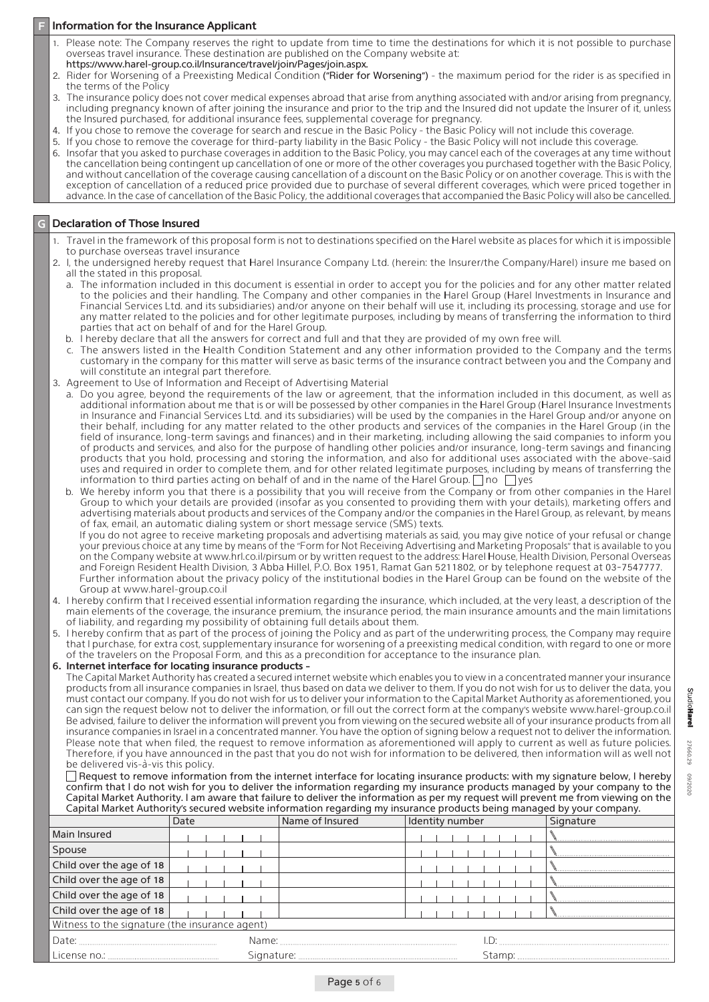#### **Information for the Insurance Applicant**

- 1. Please note: The Company reserves the right to update from time to time the destinations for which it is not possible to purchase overseas travel insurance. These destination are published on the Company website at: https://www.harel-group.co.il/Insurance/travel/join/Pages/join.aspx.
- 2. Rider for Worsening of a Preexisting Medical Condition ("Rider for Worsening") the maximum period for the rider is as specified in the terms of the Policy
- 3. The insurance policy does not cover medical expenses abroad that arise from anything associated with and/or arising from pregnancy, including pregnancy known of after joining the insurance and prior to the trip and the Insured did not update the insurer of it, unless the Insured purchased, for additional insurance fees, supplemental coverage for pregnancy.
- 4. If you chose to remove the coverage for search and rescue in the Basic Policy the Basic Policy will not include this coverage.
- 5. If you chose to remove the coverage for third-party liability in the Basic Policy the Basic Policy will not include this coverage.
- 6. Insofar that you asked to purchase coverages in addition to the Basic Policy, you may cancel each of the coverages at any time without the cancellation being contingent up cancellation of one or more of the other coverages you purchased together with the Basic Policy, and without cancellation of the coverage causing cancellation of a discount on the Basic Policy or on another coverage. This is with the exception of cancellation of a reduced price provided due to purchase of several different coverages, which were priced together in advance. In the case of cancellation of the Basic Policy, the additional coverages that accompanied the Basic Policy will also be cancelled.

### **Insured Declaration of Those Insured**

- 1. Travel in the framework of this proposal form is not to destinations specified on the Harel website as places for which it is impossible to purchase overseas travel insurance
- 2. I, the undersigned hereby request that Harel Insurance Company Ltd. (herein: the Insurer/the Company/Harel) insure me based on all the stated in this proposal.
	- a. The information included in this document is essential in order to accept you for the policies and for any other matter related to the policies and their handling. The Company and other companies in the Harel Group (Harel Investments in Insurance and Financial Services Ltd. and its subsidiaries) and/or anyone on their behalf will use it, including its processing, storage and use for any matter related to the policies and for other legitimate purposes, including by means of transferring the information to third parties that act on behalf of and for the Harel Group.
	- b. I hereby declare that all the answers for correct and full and that they are provided of my own free will.
	- c. The answers listed in the Health Condition Statement and any other information provided to the Company and the terms customary in the company for this matter will serve as basic terms of the insurance contract between you and the Company and will constitute an integral part therefore.
- 3. Agreement to Use of Information and Receipt of Advertising Material
	- a. Do you agree, beyond the requirements of the law or agreement, that the information included in this document, as well as additional information about me that is or will be possessed by other companies in the Harel Group (Harel Insurance Investments in Insurance and Financial Services Ltd. and its subsidiaries) will be used by the companies in the Harel Group and/or anyone on their behalf, including for any matter related to the other products and services of the companies in the Harel Group (in the field of insurance, long-term savings and finances) and in their marketing, including allowing the said companies to inform you of products and services, and also for the purpose of handling other policies and/or insurance, long-term savings and financing products that you hold, processing and storing the information, and also for additional uses associated with the above-said uses and required in order to complete them, and for other related legitimate purposes, including by means of transferring the information to third parties acting on behalf of and in the name of the Harel Group.  $\Box$  no  $\Box$  yes
	- b. We hereby inform you that there is a possibility that you will receive from the Company or from other companies in the Harel Group to which your details are provided (insofar as you consented to providing them with your details), marketing offers and advertising materials about products and services of the Company and/or the companies in the Harel Group, as relevant, by means of fax, email, an automatic dialing system or short message service (SMS) texts. If you do not agree to receive marketing proposals and advertising materials as said, you may give notice of your refusal or change your previous choice at any time by means of the "Form for Not Receiving Advertising and Marketing Proposals" that is available to you on the Company website at www.hrl.co.il/pirsum or by written request to the address: Harel House, Health Division, Personal Overseas and Foreign Resident Health Division, 3 Abba Hillel, P.O. Box 1951, Ramat Gan 5211802, or by telephone request at 03-7547777. Further information about the privacy policy of the institutional bodies in the Harel Group can be found on the website of the Group at www.harel-group.co.il
- 4. I hereby confirm that I received essential information regarding the insurance, which included, at the very least, a description of the main elements of the coverage, the insurance premium, the insurance period, the main insurance amounts and the main limitations of liability, and regarding my possibility of obtaining full details about them.
- I hereby confirm that as part of the process of joining the Policy and as part of the underwriting process, the Company may require that I purchase, for extra cost, supplementary insurance for worsening of a preexisting medical condition, with regard to one or more of the travelers on the Proposal Form, and this as a precondition for acceptance to the insurance plan.

6. Internet interface for locating insurance products -

The Capital Market Authority has created a secured internet website which enables you to view in a concentrated manner your insurance products from all insurance companies in Israel, thus based on data we deliver to them. If you do not wish for us to deliver the data, you must contact our company. If you do not wish for us to deliver your information to the Capital Market Authority as aforementioned, you can sign the request below not to deliver the information, or fill out the correct form at the company's website www harel-group co.il Be advised, failure to deliver the information will prevent you from viewing on the secured website all of your insurance products from all insurance companies in Israel in a concentrated manner. You have the option of signing below a request not to deliver the information. Please note that when filed, the request to remove information as aforementioned will apply to current as well as future policies. Therefore, if you have announced in the past that you do not wish for information to be delivered, then information will as well not be delivered vis-à-vis this policy.

 $\Box$  Request to remove information from the internet interface for locating insurance products: with my signature below, I hereby confirm that I do not wish for you to deliver the information regarding my insurance products managed by your company to the Capital Market Authority. I am aware that failure to deliver the information as per my request will prevent me from viewing on the Capital Market Authority's secured website information regarding my insurance products being managed by your company.

|                                                | Date |       | Name of Insured | Identity number |  |  |  |  |  |  | Signature |
|------------------------------------------------|------|-------|-----------------|-----------------|--|--|--|--|--|--|-----------|
| Main Insured                                   |      |       |                 |                 |  |  |  |  |  |  |           |
| Spouse                                         |      |       |                 |                 |  |  |  |  |  |  |           |
| Child over the age of 18                       |      |       |                 |                 |  |  |  |  |  |  |           |
| Child over the age of 18                       |      |       |                 |                 |  |  |  |  |  |  |           |
| Child over the age of 18                       |      |       |                 |                 |  |  |  |  |  |  |           |
| Child over the age of 18                       |      |       |                 |                 |  |  |  |  |  |  |           |
| Witness to the signature (the insurance agent) |      |       |                 |                 |  |  |  |  |  |  |           |
| Date:                                          |      | Name: |                 |                 |  |  |  |  |  |  |           |
|                                                |      |       |                 |                 |  |  |  |  |  |  |           |